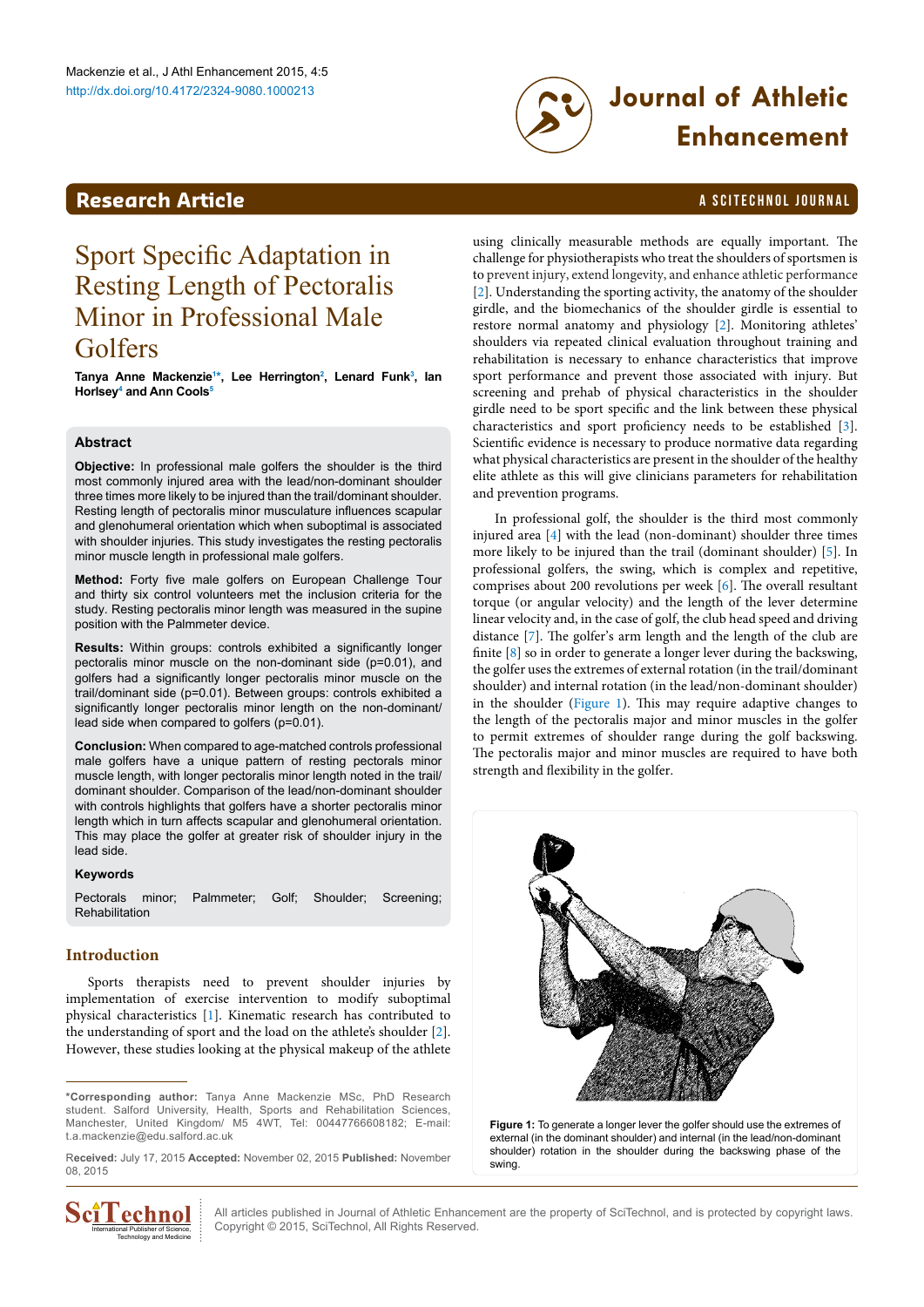### <span id="page-0-1"></span>**Research Article a Scittering Control in the Scittering Article in the Scittering Article in the Scittering Library and Scittering Control in the Scittering Article in the Scittering Article in the Scittering Article in**

# http://dx.doi.org/10.4172/2324-9080.1000213 **Journal of Athletic Enhancement**

## Sport Specific Adaptation in Resting Length of Pectoralis Minor in Professional Male Golfers

**Tanya Anne Mackenzi[e1](#page-3-0) [\\*](#page-0-0), Lee Herringto[n2](#page-3-1) , Lenard Fun[k3](#page-3-2) , Ian Horlse[y4](#page-3-3) and Ann Cool[s5](#page-3-4)**

#### **Abstract**

**Objective:** In professional male golfers the shoulder is the third most commonly injured area with the lead/non-dominant shoulder three times more likely to be injured than the trail/dominant shoulder. Resting length of pectoralis minor musculature influences scapular and glenohumeral orientation which when suboptimal is associated with shoulder injuries. This study investigates the resting pectoralis minor muscle length in professional male golfers.

**Method:** Forty five male golfers on European Challenge Tour and thirty six control volunteers met the inclusion criteria for the study. Resting pectoralis minor length was measured in the supine position with the Palmmeter device.

**Results:** Within groups: controls exhibited a significantly longer pectoralis minor muscle on the non-dominant side (p=0.01), and golfers had a significantly longer pectoralis minor muscle on the trail/dominant side (p=0.01). Between groups: controls exhibited a significantly longer pectoralis minor length on the non-dominant/ lead side when compared to golfers (p=0.01).

**Conclusion:** When compared to age-matched controls professional male golfers have a unique pattern of resting pectorals minor muscle length, with longer pectoralis minor length noted in the trail/ dominant shoulder. Comparison of the lead/non-dominant shoulder with controls highlights that golfers have a shorter pectoralis minor length which in turn affects scapular and glenohumeral orientation. This may place the golfer at greater risk of shoulder injury in the lead side.

#### **Keywords**

Pectorals minor; Palmmeter; Golf; Shoulder; Screening; Rehabilitation

#### **Introduction**

Sports therapists need to prevent shoulder injuries by implementation of exercise intervention to modify suboptimal physical characteristics [[1](#page-3-5)]. Kinematic research has contributed to the understanding of sport and the load on the athlete's shoulder [[2](#page-3-6)]. However, these studies looking at the physical makeup of the athlete

R**eceived:** July 17, 2015 **Accepted:** November 02, 2015 **Published:** November 08, 2015



All articles published in Journal of Athletic Enhancement are the property of SciTechnol, and is protected by copyright laws. Copyright © 2015, SciTechnol, All Rights Reserved.

using clinically measurable methods are equally important. The challenge for physiotherapists who treat the shoulders of sportsmen is to prevent injury, extend longevity, and enhance athletic performance [[2](#page-3-6)]. Understanding the sporting activity, the anatomy of the shoulder girdle, and the biomechanics of the shoulder girdle is essential to restore normal anatomy and physiology [[2\]](#page-3-6). Monitoring athletes' shoulders via repeated clinical evaluation throughout training and rehabilitation is necessary to enhance characteristics that improve sport performance and prevent those associated with injury. But screening and prehab of physical characteristics in the shoulder girdle need to be sport specific and the link between these physical characteristics and sport proficiency needs to be established [\[3\]](#page-3-7). Scientific evidence is necessary to produce normative data regarding what physical characteristics are present in the shoulder of the healthy elite athlete as this will give clinicians parameters for rehabilitation and prevention programs.

In professional golf, the shoulder is the third most commonly injured area [[4\]](#page-3-8) with the lead (non-dominant) shoulder three times more likely to be injured than the trail (dominant shoulder) [\[5\]](#page-3-9). In professional golfers, the swing, which is complex and repetitive, comprises about 200 revolutions per week [\[6\]](#page-3-10). The overall resultant torque (or angular velocity) and the length of the lever determine linear velocity and, in the case of golf, the club head speed and driving distance [[7\]](#page-3-11). The golfer's arm length and the length of the club are finite  $[8]$  $[8]$  so in order to generate a longer lever during the backswing, the golfer uses the extremes of external rotation (in the trail/dominant shoulder) and internal rotation (in the lead/non-dominant shoulder) in the shoulder (Figure 1). This may require adaptive changes to the length of the pectoralis major and minor muscles in the golfer to permit extremes of shoulder range during the golf backswing. The pectoralis major and minor muscles are required to have both strength and flexibility in the golfer.



<span id="page-0-0"></span>**<sup>\*</sup>Corresponding author:** Tanya Anne Mackenzie MSc, PhD Research student. Salford University, Health, Sports and Rehabilitation Sciences, Manchester, United Kingdom/ M5 4WT, Tel: 00447766608182; E-mail: t.a.mackenzie@edu.salford.ac.uk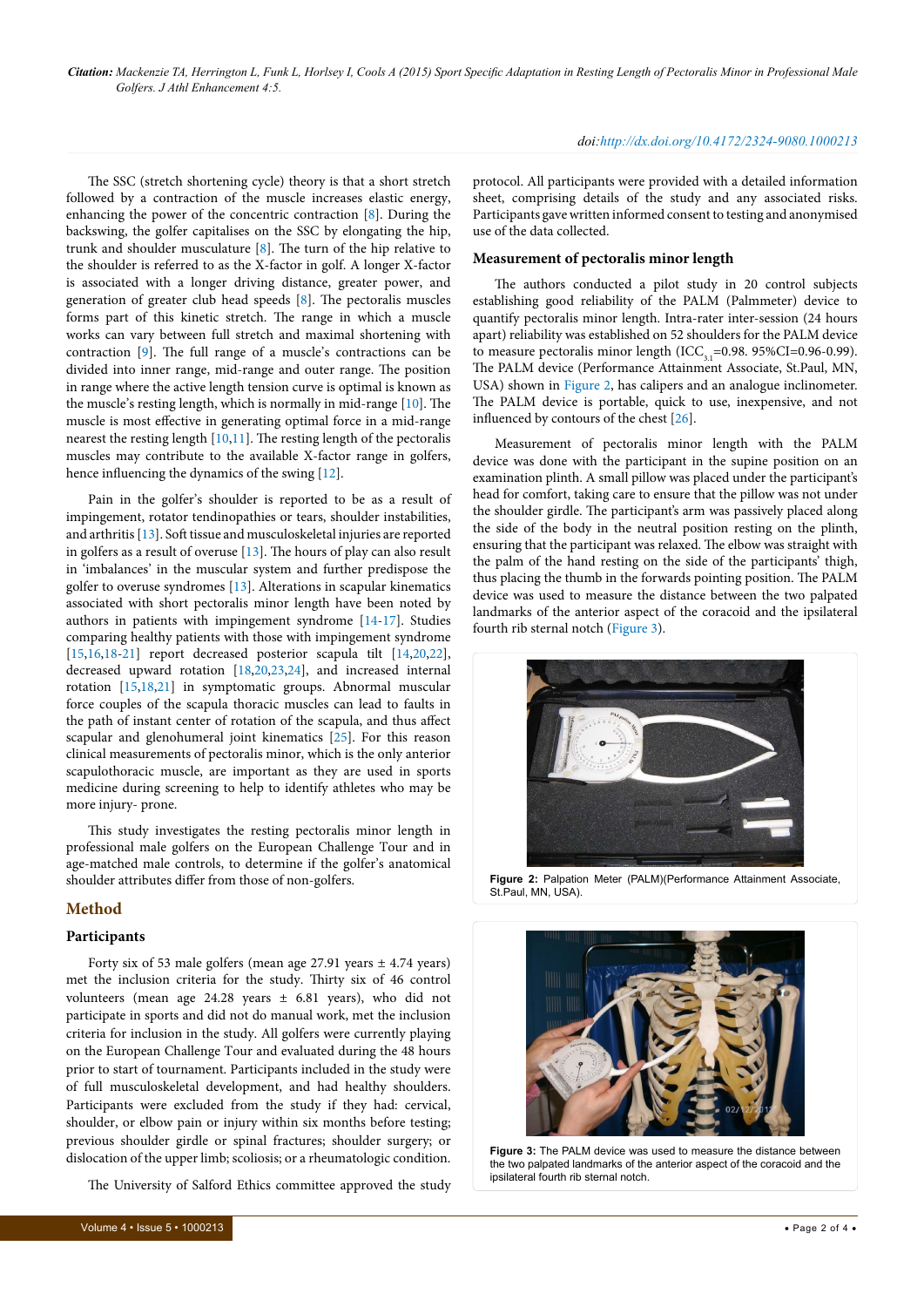*Citation: Mackenzie TA, Herrington L, Funk L, Horlsey I, Cools A (2015) Sport Specific Adaptation in Resting Length of Pectoralis Minor in Professional Male Golfers. J Athl Enhancement 4:5.*

The SSC (stretch shortening cycle) theory is that a short stretch followed by a contraction of the muscle increases elastic energy, enhancing the power of the concentric contraction [\[8\]](#page-3-12). During the backswing, the golfer capitalises on the SSC by elongating the hip, trunk and shoulder musculature [\[8\]](#page-3-12). The turn of the hip relative to the shoulder is referred to as the X-factor in golf. A longer X-factor is associated with a longer driving distance, greater power, and generation of greater club head speeds [[8](#page-3-12)]. The pectoralis muscles forms part of this kinetic stretch. The range in which a muscle works can vary between full stretch and maximal shortening with contraction [\[9\]](#page-3-13). The full range of a muscle's contractions can be divided into inner range, mid-range and outer range. The position in range where the active length tension curve is optimal is known as the muscle's resting length, which is normally in mid-range [\[10\]](#page-3-14). The muscle is most effective in generating optimal force in a mid-range nearest the resting length [[10](#page-3-14),[11](#page-3-15)]. The resting length of the pectoralis muscles may contribute to the available X-factor range in golfers, hence influencing the dynamics of the swing [[12](#page-3-16)].

Pain in the golfer's shoulder is reported to be as a result of impingement, rotator tendinopathies or tears, shoulder instabilities, and arthritis [\[13\]](#page-3-17). Soft tissue and musculoskeletal injuries are reported in golfers as a result of overuse [\[13](#page-3-17)]. The hours of play can also result in 'imbalances' in the muscular system and further predispose the golfer to overuse syndromes [\[13](#page-3-17)]. Alterations in scapular kinematics associated with short pectoralis minor length have been noted by authors in patients with impingement syndrome [[14](#page-3-18)-[17](#page-3-19)]. Studies comparing healthy patients with those with impingement syndrome [[15](#page-3-20)[,16,](#page-3-21)[18-](#page-3-22)[21](#page-3-23)] report decreased posterior scapula tilt [\[14](#page-3-18)[,20,](#page-3-24)[22](#page-3-25)], decreased upward rotation [\[18,](#page-3-22)[20,](#page-3-24)[23](#page-3-26)[,24\]](#page-3-27), and increased internal rotation [[15,](#page-3-20)[18](#page-3-22)[,21\]](#page-3-23) in symptomatic groups. Abnormal muscular force couples of the scapula thoracic muscles can lead to faults in the path of instant center of rotation of the scapula, and thus affect scapular and glenohumeral joint kinematics [\[25\]](#page-3-28). For this reason clinical measurements of pectoralis minor, which is the only anterior scapulothoracic muscle, are important as they are used in sports medicine during screening to help to identify athletes who may be more injury- prone.

This study investigates the resting pectoralis minor length in professional male golfers on the European Challenge Tour and in age-matched male controls, to determine if the golfer's anatomical shoulder attributes differ from those of non-golfers.

#### **Method**

#### **Participants**

Forty six of 53 male golfers (mean age 27.91 years  $\pm$  4.74 years) met the inclusion criteria for the study. Thirty six of 46 control volunteers (mean age  $24.28$  years  $\pm$  6.81 years), who did not participate in sports and did not do manual work, met the inclusion criteria for inclusion in the study. All golfers were currently playing on the European Challenge Tour and evaluated during the 48 hours prior to start of tournament. Participants included in the study were of full musculoskeletal development, and had healthy shoulders. Participants were excluded from the study if they had: cervical, shoulder, or elbow pain or injury within six months before testing; previous shoulder girdle or spinal fractures; shoulder surgery; or dislocation of the upper limb; scoliosis; or a rheumatologic condition.

The University of Salford Ethics committee approved the study

#### *doi:http://dx.doi.org/10.4172/2324-9080.1000213*

protocol. All participants were provided with a detailed information sheet, comprising details of the study and any associated risks. Participants gave written informed consent to testing and anonymised use of the data collected.

#### **Measurement of pectoralis minor length**

The authors conducted a pilot study in 20 control subjects establishing good reliability of the PALM (Palmmeter) device to quantify pectoralis minor length. Intra-rater inter-session (24 hours apart) reliability was established on 52 shoulders for the PALM device to measure pectoralis minor length (ICC<sub>3,1</sub>=0.98. 95%CI=0.96-0.99). The PALM device (Performance Attainment Associate, St.Paul, MN, USA) shown in [Figure 2,](#page-1-0) has calipers and an analogue inclinometer. The PALM device is portable, quick to use, inexpensive, and not influenced by contours of the chest [\[26\]](#page-3-29).

Measurement of pectoralis minor length with the PALM device was done with the participant in the supine position on an examination plinth. A small pillow was placed under the participant's head for comfort, taking care to ensure that the pillow was not under the shoulder girdle. The participant's arm was passively placed along the side of the body in the neutral position resting on the plinth, ensuring that the participant was relaxed. The elbow was straight with the palm of the hand resting on the side of the participants' thigh, thus placing the thumb in the forwards pointing position. The PALM device was used to measure the distance between the two palpated landmarks of the anterior aspect of the coracoid and the ipsilateral fourth rib sternal notch (Figure 3).

<span id="page-1-0"></span>

**Figure 2:** Palpation Meter (PALM)(Performance Attainment Associate, St.Paul, MN, USA).



**Figure 3:** The PALM device was used to measure the distance between the two palpated landmarks of the anterior aspect of the coracoid and the ipsilateral fourth rib sternal notch.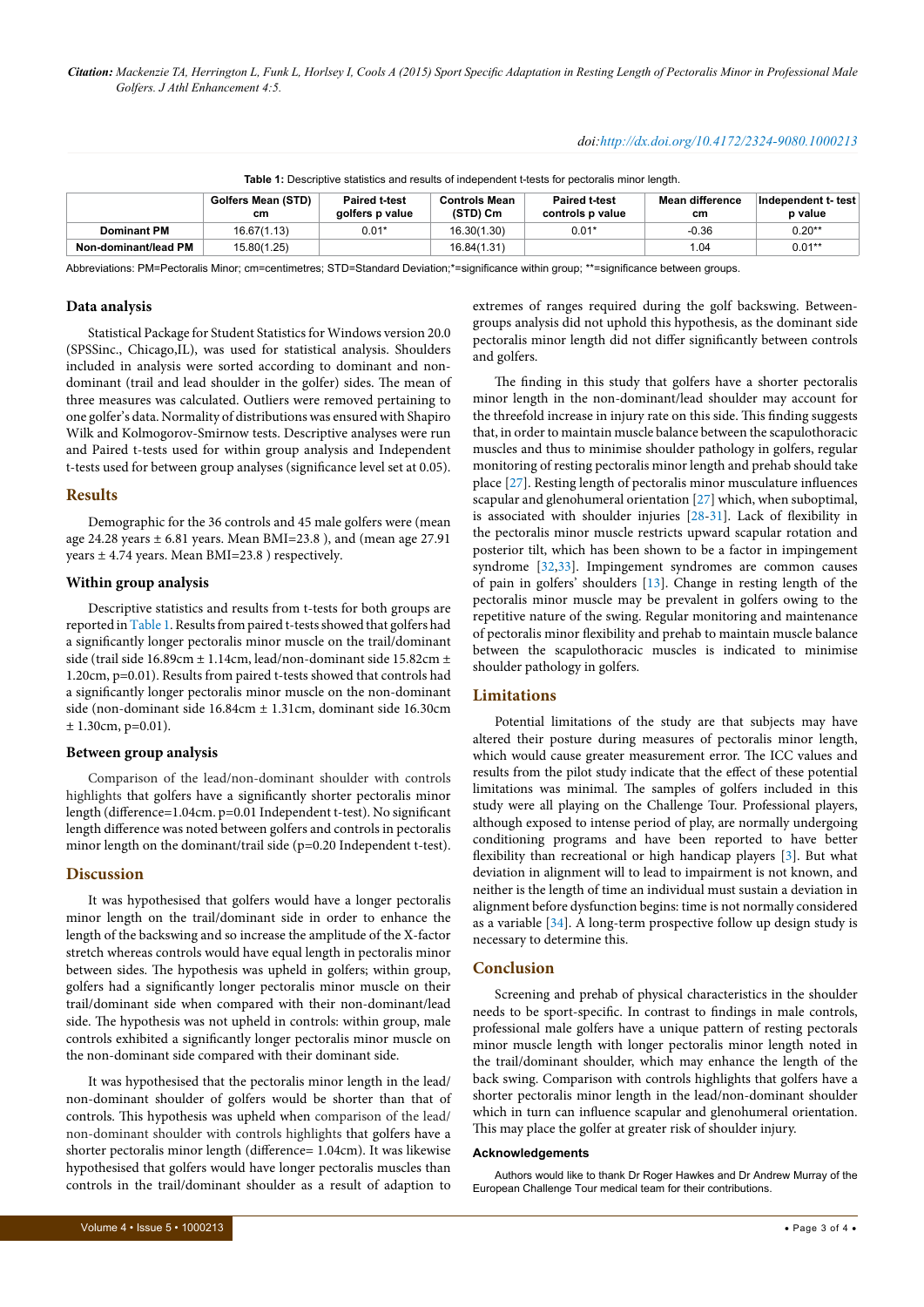#### *doi:http://dx.doi.org/10.4172/2324-9080.1000213*

<span id="page-2-0"></span>

| <b>Table 1:</b> Descriptive statistics and results of independent t-tests for pectoralis minor length. |                          |                                         |                                  |                                          |                              |                               |
|--------------------------------------------------------------------------------------------------------|--------------------------|-----------------------------------------|----------------------------------|------------------------------------------|------------------------------|-------------------------------|
|                                                                                                        | Golfers Mean (STD)<br>cm | <b>Paired t-test</b><br>golfers p value | <b>Controls Mean</b><br>(STD) Cm | <b>Paired t-test</b><br>controls p value | <b>Mean difference</b><br>cm | Independent t-test<br>p value |
| <b>Dominant PM</b>                                                                                     | 16.67(1.13)              | $0.01*$                                 | 16.30(1.30)                      | $0.01*$                                  | $-0.36$                      | $0.20**$                      |
| Non-dominant/lead PM                                                                                   | 15.80(1.25)              |                                         | 16.84(1.31)                      |                                          | 1.04                         | $0.01**$                      |

Abbreviations: PM=Pectoralis Minor; cm=centimetres; STD=Standard Deviation;\*=significance within group; \*\*=significance between groups.

#### **Data analysis**

Statistical Package for Student Statistics for Windows version 20.0 (SPSSinc., Chicago,IL), was used for statistical analysis. Shoulders included in analysis were sorted according to dominant and nondominant (trail and lead shoulder in the golfer) sides. The mean of three measures was calculated. Outliers were removed pertaining to one golfer's data. Normality of distributions was ensured with Shapiro Wilk and Kolmogorov-Smirnow tests. Descriptive analyses were run and Paired t-tests used for within group analysis and Independent t-tests used for between group analyses (significance level set at 0.05).

#### **Results**

Demographic for the 36 controls and 45 male golfers were (mean age 24.28 years ± 6.81 years. Mean BMI=23.8 ), and (mean age 27.91 years ± 4.74 years. Mean BMI=23.8 ) respectively.

#### **Within group analysis**

Descriptive statistics and results from t-tests for both groups are reported in [Table 1.](#page-2-0) Results from paired t-tests showed that golfers had a significantly longer pectoralis minor muscle on the trail/dominant side (trail side 16.89cm ± 1.14cm, lead/non-dominant side 15.82cm ± 1.20cm, p=0.01). Results from paired t-tests showed that controls had a significantly longer pectoralis minor muscle on the non-dominant side (non-dominant side 16.84cm ± 1.31cm, dominant side 16.30cm  $± 1.30cm$ , p=0.01).

#### **Between group analysis**

Comparison of the lead/non-dominant shoulder with controls highlights that golfers have a significantly shorter pectoralis minor length (difference=1.04cm. p=0.01 Independent t-test). No significant length difference was noted between golfers and controls in pectoralis minor length on the dominant/trail side (p=0.20 Independent t-test).

#### **Discussion**

It was hypothesised that golfers would have a longer pectoralis minor length on the trail/dominant side in order to enhance the length of the backswing and so increase the amplitude of the X-factor stretch whereas controls would have equal length in pectoralis minor between sides. The hypothesis was upheld in golfers; within group, golfers had a significantly longer pectoralis minor muscle on their trail/dominant side when compared with their non-dominant/lead side. The hypothesis was not upheld in controls: within group, male controls exhibited a significantly longer pectoralis minor muscle on the non-dominant side compared with their dominant side.

It was hypothesised that the pectoralis minor length in the lead/ non-dominant shoulder of golfers would be shorter than that of controls. This hypothesis was upheld when comparison of the lead/ non-dominant shoulder with controls highlights that golfers have a shorter pectoralis minor length (difference= 1.04cm). It was likewise hypothesised that golfers would have longer pectoralis muscles than controls in the trail/dominant shoulder as a result of adaption to extremes of ranges required during the golf backswing. Betweengroups analysis did not uphold this hypothesis, as the dominant side pectoralis minor length did not differ significantly between controls and golfers.

The finding in this study that golfers have a shorter pectoralis minor length in the non-dominant/lead shoulder may account for the threefold increase in injury rate on this side. This finding suggests that, in order to maintain muscle balance between the scapulothoracic muscles and thus to minimise shoulder pathology in golfers, regular monitoring of resting pectoralis minor length and prehab should take place [\[27](#page-3-30)]. Resting length of pectoralis minor musculature influences scapular and glenohumeral orientation [\[27\]](#page-3-30) which, when suboptimal, is associated with shoulder injuries [\[28](#page-3-31)[-31\]](#page-3-32). Lack of flexibility in the pectoralis minor muscle restricts upward scapular rotation and posterior tilt, which has been shown to be a factor in impingement syndrome [[32](#page-3-33),[33](#page-3-34)]. Impingement syndromes are common causes of pain in golfers' shoulders [[13\]](#page-3-17). Change in resting length of the pectoralis minor muscle may be prevalent in golfers owing to the repetitive nature of the swing. Regular monitoring and maintenance of pectoralis minor flexibility and prehab to maintain muscle balance between the scapulothoracic muscles is indicated to minimise shoulder pathology in golfers.

#### **Limitations**

Potential limitations of the study are that subjects may have altered their posture during measures of pectoralis minor length, which would cause greater measurement error. The ICC values and results from the pilot study indicate that the effect of these potential limitations was minimal. The samples of golfers included in this study were all playing on the Challenge Tour. Professional players, although exposed to intense period of play, are normally undergoing conditioning programs and have been reported to have better flexibility than recreational or high handicap players [\[3](#page-3-7)]. But what deviation in alignment will to lead to impairment is not known, and neither is the length of time an individual must sustain a deviation in alignment before dysfunction begins: time is not normally considered as a variable [[34](#page-3-35)]. A long-term prospective follow up design study is necessary to determine this.

#### **Conclusion**

Screening and prehab of physical characteristics in the shoulder needs to be sport-specific. In contrast to findings in male controls, professional male golfers have a unique pattern of resting pectorals minor muscle length with longer pectoralis minor length noted in the trail/dominant shoulder, which may enhance the length of the back swing. Comparison with controls highlights that golfers have a shorter pectoralis minor length in the lead/non-dominant shoulder which in turn can influence scapular and glenohumeral orientation. This may place the golfer at greater risk of shoulder injury.

#### **Acknowledgements**

Authors would like to thank Dr Roger Hawkes and Dr Andrew Murray of the European Challenge Tour medical team for their contributions.